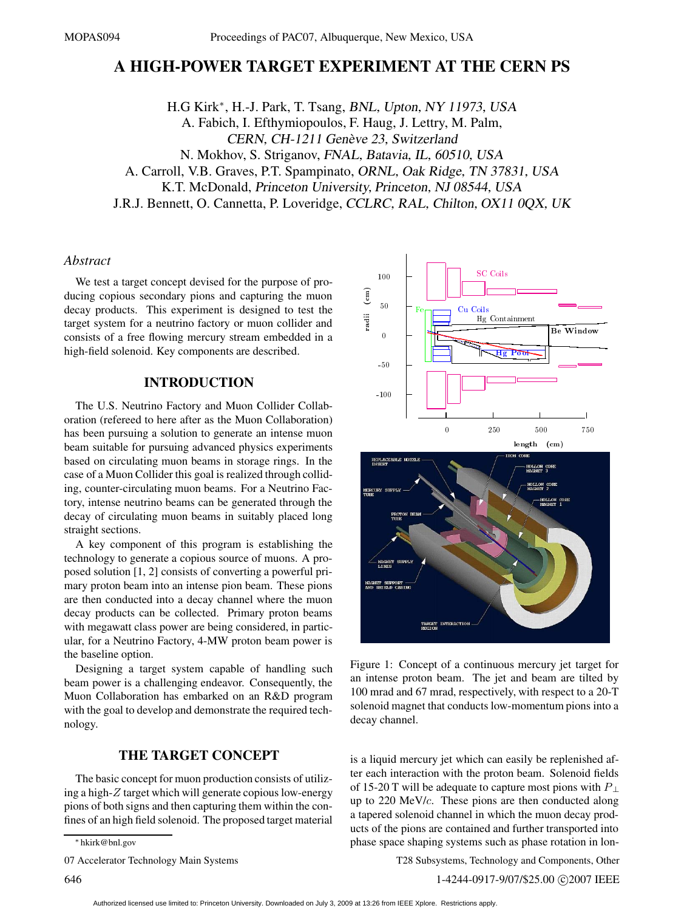# **A HIGH-POWER TARGET EXPERIMENT AT THE CERN PS**

H.G Kirk∗, H.-J. Park, T. Tsang, BNL, Upton, NY 11973, USA A. Fabich, I. Efthymiopoulos, F. Haug, J. Lettry, M. Palm, CERN, CH-1211 Genève 23, Switzerland N. Mokhov, S. Striganov, FNAL, Batavia, IL, 60510, USA A. Carroll, V.B. Graves, P.T. Spampinato, ORNL, Oak Ridge, TN 37831, USA K.T. McDonald, Princeton University, Princeton, NJ 08544, USA J.R.J. Bennett, O. Cannetta, P. Loveridge, CCLRC, RAL, Chilton, OX11 0QX, UK

#### *Abstract*

We test a target concept devised for the purpose of producing copious secondary pions and capturing the muon decay products. This experiment is designed to test the target system for a neutrino factory or muon collider and consists of a free flowing mercury stream embedded in a high-field solenoid. Key components are described.

## **INTRODUCTION**

The U.S. Neutrino Factory and Muon Collider Collaboration (refereed to here after as the Muon Collaboration) has been pursuing a solution to generate an intense muon beam suitable for pursuing advanced physics experiments based on circulating muon beams in storage rings. In the case of a Muon Collider this goal is realized through colliding, counter-circulating muon beams. For a Neutrino Factory, intense neutrino beams can be generated through the decay of circulating muon beams in suitably placed long straight sections.

A key component of this program is establishing the technology to generate a copious source of muons. A proposed solution [1, 2] consists of converting a powerful primary proton beam into an intense pion beam. These pions are then conducted into a decay channel where the muon decay products can be collected. Primary proton beams with megawatt class power are being considered, in particular, for a Neutrino Factory, 4-MW proton beam power is the baseline option.

Designing a target system capable of handling such beam power is a challenging endeavor. Consequently, the Muon Collaboration has embarked on an R&D program with the goal to develop and demonstrate the required technology.

#### **THE TARGET CONCEPT**

The basic concept for muon production consists of utilizing a high-*Z* target which will generate copious low-energy pions of both signs and then capturing them within the confines of an high field solenoid. The proposed target material

07 Accelerator Technology Main Systems



Figure 1: Concept of a continuous mercury jet target for an intense proton beam. The jet and beam are tilted by 100 mrad and 67 mrad, respectively, with respect to a 20-T solenoid magnet that conducts low-momentum pions into a decay channel.

is a liquid mercury jet which can easily be replenished after each interaction with the proton beam. Solenoid fields of 15-20 T will be adequate to capture most pions with *P* <sup>⊥</sup> up to 220 MeV/*c*. These pions are then conducted along a tapered solenoid channel in which the muon decay products of the pions are contained and further transported into phase space shaping systems such as phase rotation in lon-

T28 Subsystems, Technology and Components, Other

<sup>∗</sup> hkirk@bnl.gov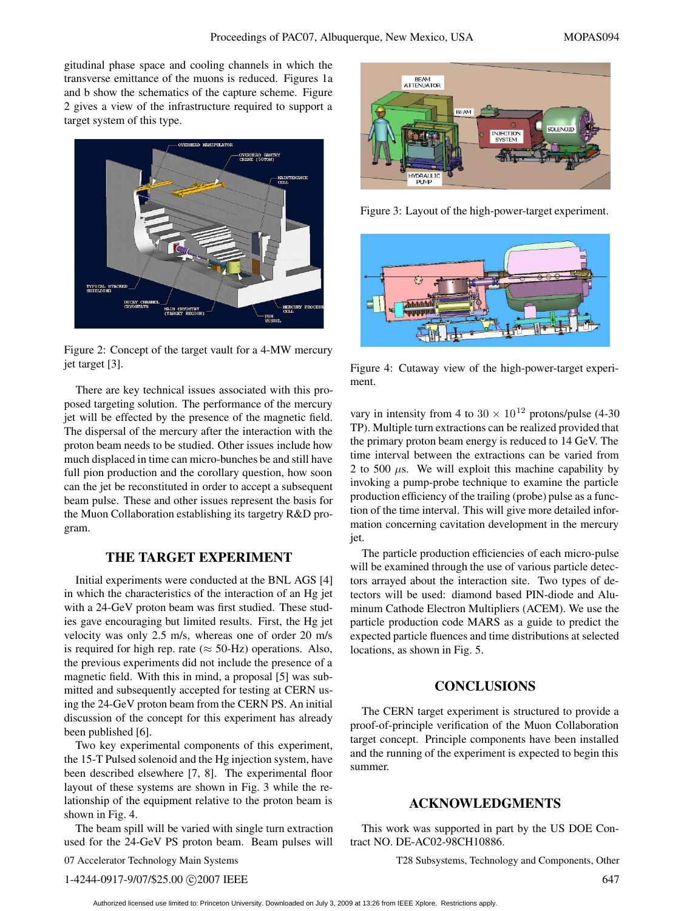gitudinal phase space and cooling channels in which the transverse emittance of the muons is reduced. Figures 1a and b show the schematics of the capture scheme. Figure 2 gives a view of the infrastructure required to support a target system of this type.



Figure 2: Concept of the target vault for a 4-MW mercury jet target [3].

There are key technical issues associated with this proposed targeting solution. The performance of the mercury jet will be effected by the presence of the magnetic field. The dispersal of the mercury after the interaction with the proton beam needs to be studied. Other issues include how much displaced in time can micro-bunches be and still have full pion production and the corollary question, how soon can the jet be reconstituted in order to accept a subsequent beam pulse. These and other issues represent the basis for the Muon Collaboration establishing its targetry R&D program.

### **THE TARGET EXPERIMENT**

Initial experiments were conducted at the BNL AGS [4] in which the characteristics of the interaction of an Hg jet with a 24-GeV proton beam was first studied. These studies gave encouraging but limited results. First, the Hg jet velocity was only 2.5 m/s, whereas one of order 20 m/s is required for high rep. rate ( $\approx$  50-Hz) operations. Also, the previous experiments did not include the presence of a magnetic field. With this in mind, a proposal [5] was submitted and subsequently accepted for testing at CERN using the 24-GeV proton beam from the CERN PS. An initial discussion of the concept for this experiment has already been published [6].

Two key experimental components of this experiment, the 15-T Pulsed solenoid and the Hg injection system, have been described elsewhere [7, 8]. The experimental floor layout of these systems are shown in Fig. 3 while the relationship of the equipment relative to the proton beam is shown in Fig. 4.

The beam spill will be varied with single turn extraction used for the 24-GeV PS proton beam. Beam pulses will

07 Accelerator Technology Main Systems



Figure 3: Layout of the high-power-target experiment.



Figure 4: Cutaway view of the high-power-target experiment.

vary in intensity from 4 to  $30 \times 10^{12}$  protons/pulse (4-30) TP). Multiple turn extractions can be realized provided that the primary proton beam energy is reduced to 14 GeV. The time interval between the extractions can be varied from 2 to 500  $\mu$ s. We will exploit this machine capability by invoking a pump-probe technique to examine the particle production efficiency of the trailing (probe) pulse as a function of the time interval. This will give more detailed information concerning cavitation development in the mercury jet.

The particle production efficiencies of each micro-pulse will be examined through the use of various particle detectors arrayed about the interaction site. Two types of detectors will be used: diamond based PIN-diode and Aluminum Cathode Electron Multipliers (ACEM). We use the particle production code MARS as a guide to predict the expected particle fluences and time distributions at selected locations, as shown in Fig. 5.

## **CONCLUSIONS**

The CERN target experiment is structured to provide a proof-of-principle verification of the Muon Collaboration target concept. Principle components have been installed and the running of the experiment is expected to begin this summer.

#### **ACKNOWLEDGMENTS**

This work was supported in part by the US DOE Contract NO. DE-AC02-98CH10886.

T28 Subsystems, Technology and Components, Other

1-4244-0917-9/07/\$25.00 C2007 IEEE